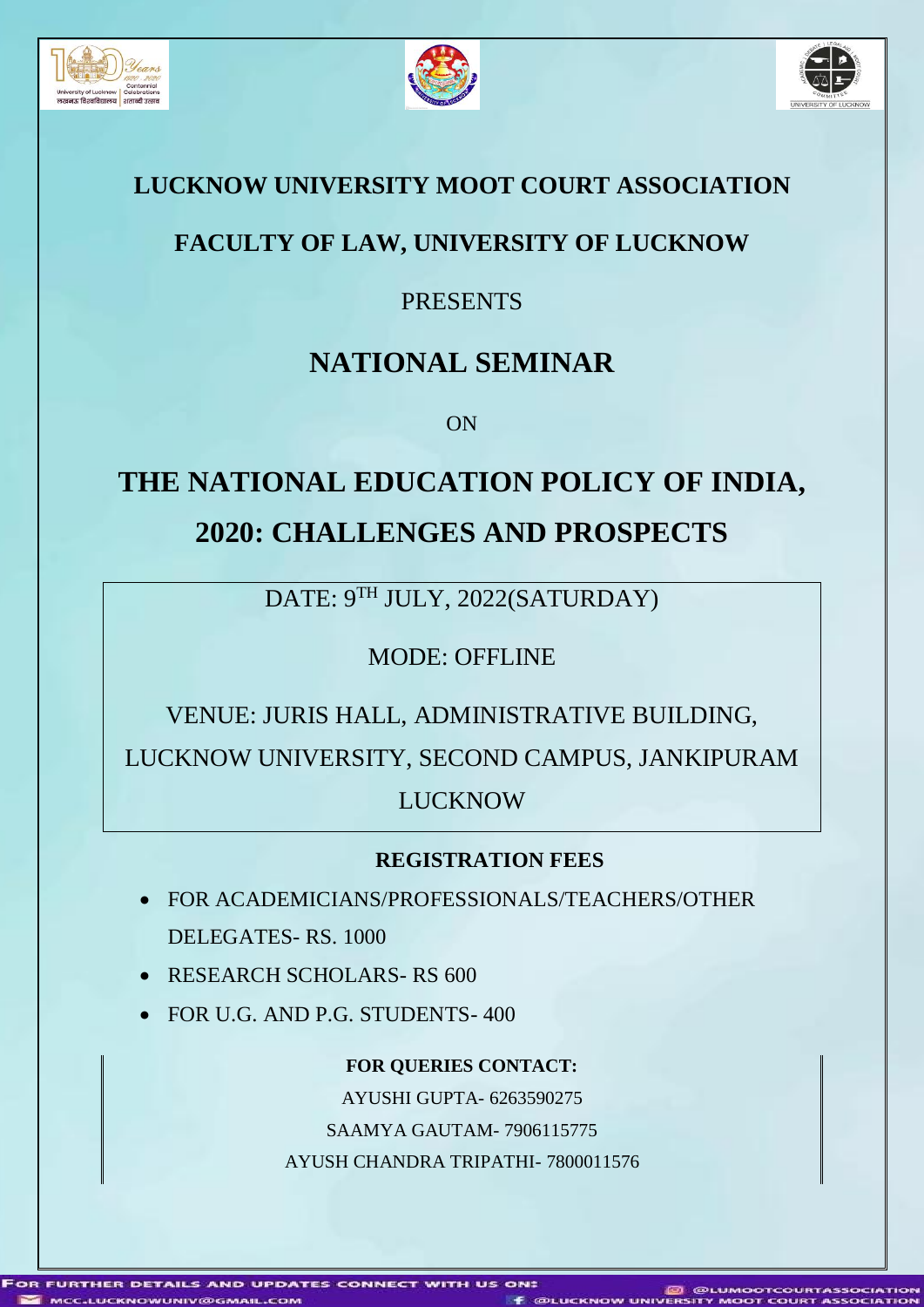





#### **LUCKNOW UNIVERSITY MOOT COURT ASSOCIATION**

## **FACULTY OF LAW, UNIVERSITY OF LUCKNOW**

### PRESENTS

## **NATIONAL SEMINAR**

ON

# **THE NATIONAL EDUCATION POLICY OF INDIA, 2020: CHALLENGES AND PROSPECTS**

DATE: 9TH JULY, 2022(SATURDAY)

MODE: OFFLINE

VENUE: JURIS HALL, ADMINISTRATIVE BUILDING, LUCKNOW UNIVERSITY, SECOND CAMPUS, JANKIPURAM LUCKNOW

#### **REGISTRATION FEES**

- FOR ACADEMICIANS/PROFESSIONALS/TEACHERS/OTHER DELEGATES- RS. 1000
- RESEARCH SCHOLARS-RS 600
- FOR U.G. AND P.G. STUDENTS- 400

**FOR QUERIES CONTACT:**

AYUSHI GUPTA- 6263590275

SAAMYA GAUTAM- 7906115775

AYUSH CHANDRA TRIPATHI- 7800011576

FURTHER DETAILS AND UPDATES CONNECT WITH US ON: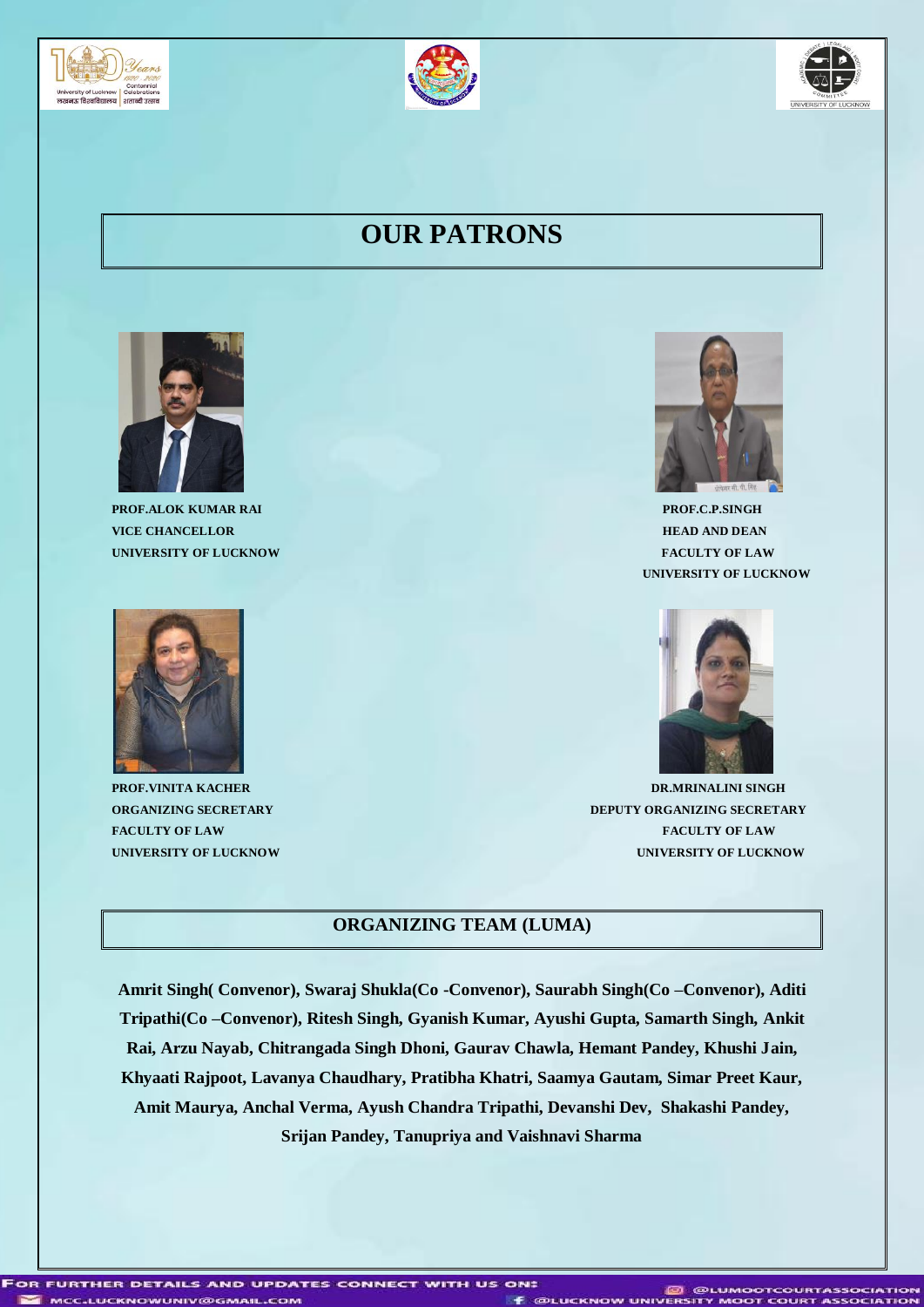





## **OUR PATRONS**



**PROF.ALOK KUMAR RAI PROF.C.P.SINGH VICE CHANCELLOR HEAD AND DEAN UNIVERSITY OF LUCKNOW FACULTY OF LAW**





 **UNIVERSITY OF LUCKNOW** 



**PROF.VINITA KACHER DR.MRINALINI SINGH ORGANIZING SECRETARY DEPUTY ORGANIZING SECRETARY FACULTY OF LAW FACULTY OF LAW UNIVERSITY OF LUCKNOW UNIVERSITY OF LUCKNOW**

#### **ORGANIZING TEAM (LUMA)**

**Amrit Singh( Convenor), Swaraj Shukla(Co -Convenor), Saurabh Singh(Co –Convenor), Aditi Tripathi(Co –Convenor), Ritesh Singh, Gyanish Kumar, Ayushi Gupta, Samarth Singh, Ankit Rai, Arzu Nayab, Chitrangada Singh Dhoni, Gaurav Chawla, Hemant Pandey, Khushi Jain, Khyaati Rajpoot, Lavanya Chaudhary, Pratibha Khatri, Saamya Gautam, Simar Preet Kaur, Amit Maurya, Anchal Verma, Ayush Chandra Tripathi, Devanshi Dev, Shakashi Pandey, Srijan Pandey, Tanupriya and Vaishnavi Sharma**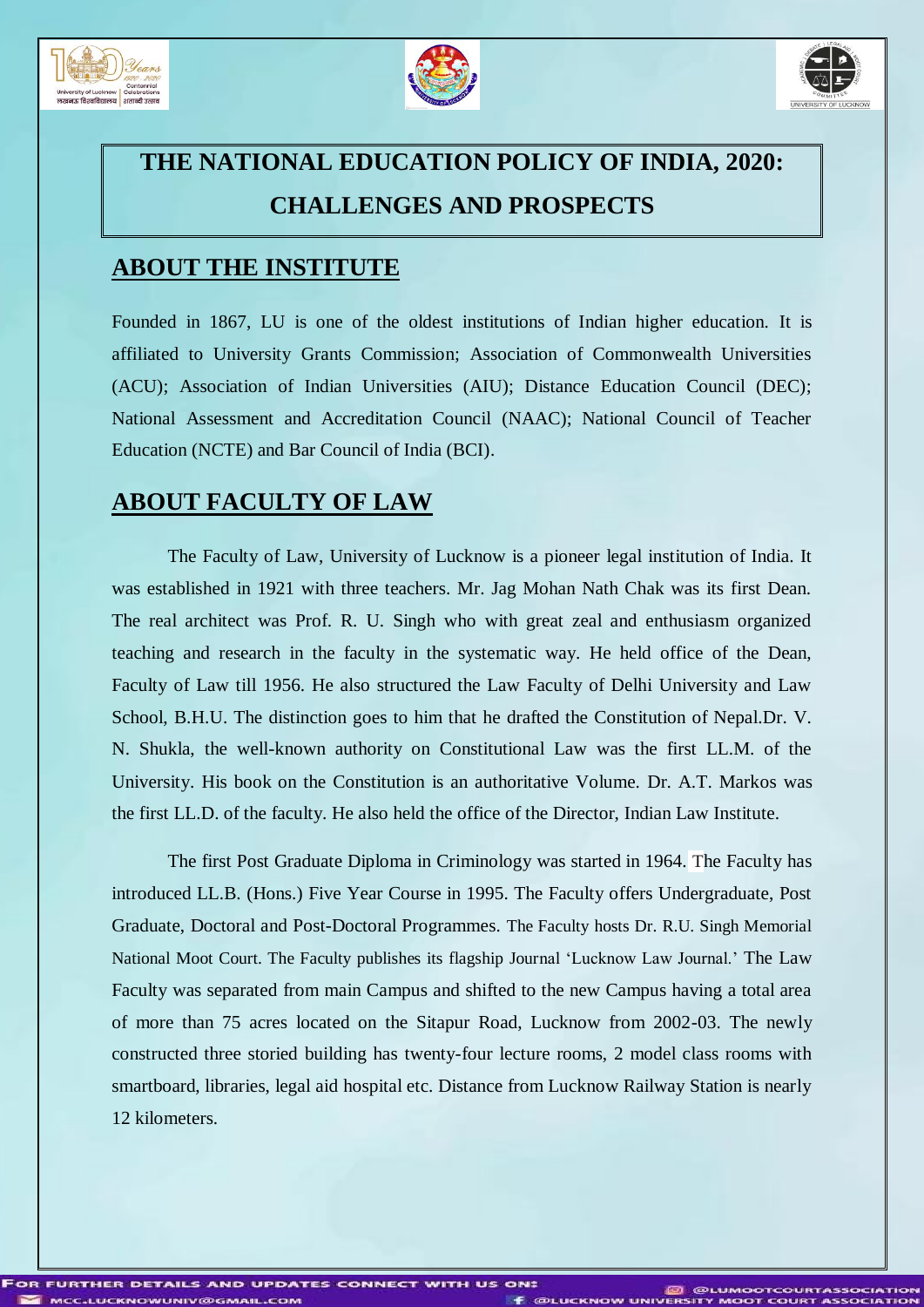





## **THE NATIONAL EDUCATION POLICY OF INDIA, 2020: CHALLENGES AND PROSPECTS**

#### **ABOUT THE INSTITUTE**

Founded in 1867, LU is one of the oldest institutions of Indian higher education. It is affiliated to University Grants Commission; Association of Commonwealth Universities (ACU); Association of Indian Universities (AIU); Distance Education Council (DEC); National Assessment and Accreditation Council (NAAC); National Council of Teacher Education (NCTE) and Bar Council of India (BCI).

#### **ABOUT FACULTY OF LAW**

The Faculty of Law, University of Lucknow is a pioneer legal institution of India. It was established in 1921 with three teachers. Mr. Jag Mohan Nath Chak was its first Dean. The real architect was Prof. R. U. Singh who with great zeal and enthusiasm organized teaching and research in the faculty in the systematic way. He held office of the Dean, Faculty of Law till 1956. He also structured the Law Faculty of Delhi University and Law School, B.H.U. The distinction goes to him that he drafted the Constitution of Nepal.Dr. V. N. Shukla, the well-known authority on Constitutional Law was the first LL.M. of the University. His book on the Constitution is an authoritative Volume. Dr. A.T. Markos was the first LL.D. of the faculty. He also held the office of the Director, Indian Law Institute.

The first Post Graduate Diploma in Criminology was started in 1964. The Faculty has introduced LL.B. (Hons.) Five Year Course in 1995. The Faculty offers Undergraduate, Post Graduate, Doctoral and Post-Doctoral Programmes. The Faculty hosts Dr. R.U. Singh Memorial National Moot Court. The Faculty publishes its flagship Journal 'Lucknow Law Journal.' The Law Faculty was separated from main Campus and shifted to the new Campus having a total area of more than 75 acres located on the Sitapur Road, Lucknow from 2002-03. The newly constructed three storied building has twenty-four lecture rooms, 2 model class rooms with smartboard, libraries, legal aid hospital etc. Distance from Lucknow Railway Station is nearly 12 kilometers.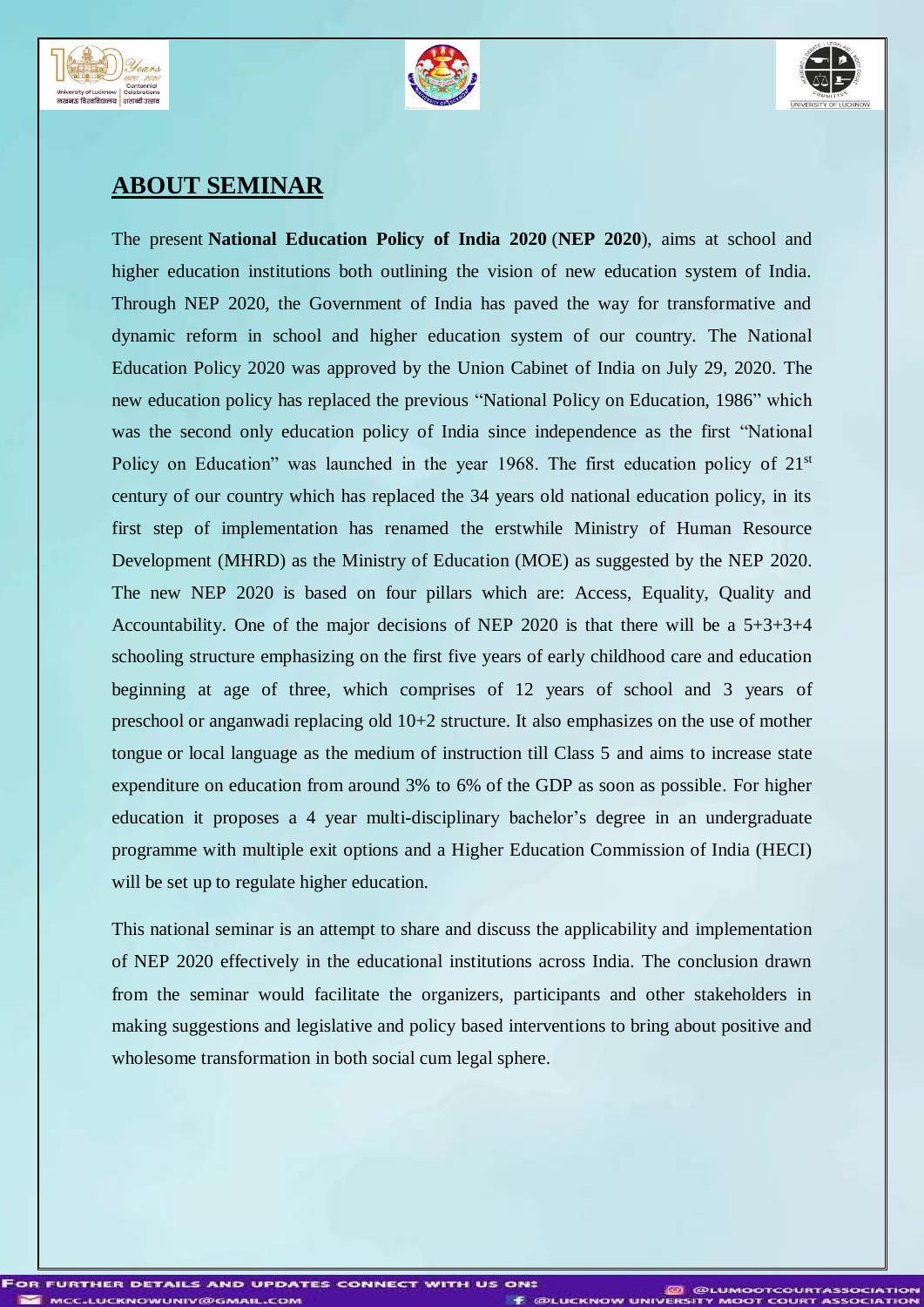





#### **ABOUT SEMINAR**

The present **National Education Policy of India 2020** (**NEP 2020**), aims at school and higher education institutions both outlining the vision of new education system of India. Through NEP 2020, the Government of India has paved the way for transformative and dynamic reform in school and higher education system of our country. The National Education Policy 2020 was approved by the Union Cabinet of India on July 29, 2020. The new education policy has replaced the previous "National Policy on Education, 1986" which was the second only education policy of India since independence as the first "National Policy on Education" was launched in the year 1968. The first education policy of  $21<sup>st</sup>$ century of our country which has replaced the 34 years old national education policy, in its first step of implementation has renamed the erstwhile Ministry of Human Resource Development (MHRD) as the Ministry of Education (MOE) as suggested by the NEP 2020. The new NEP 2020 is based on four pillars which are: Access, Equality, Quality and Accountability. One of the major decisions of NEP 2020 is that there will be a 5+3+3+4 schooling structure emphasizing on the first five years of early childhood care and education beginning at age of three, which comprises of 12 years of school and 3 years of preschool or anganwadi replacing old 10+2 structure. It also emphasizes on the use of mother tongue or local language as the medium of instruction till Class 5 and aims to increase state expenditure on education from around 3% to 6% of the GDP as soon as possible. For higher education it proposes a 4 year multi-disciplinary bachelor's degree in an undergraduate programme with multiple exit options and a Higher Education Commission of India (HECI) will be set up to regulate higher education.

This national seminar is an attempt to share and discuss the applicability and implementation of NEP 2020 effectively in the educational institutions across India. The conclusion drawn from the seminar would facilitate the organizers, participants and other stakeholders in making suggestions and legislative and policy based interventions to bring about positive and wholesome transformation in both social cum legal sphere.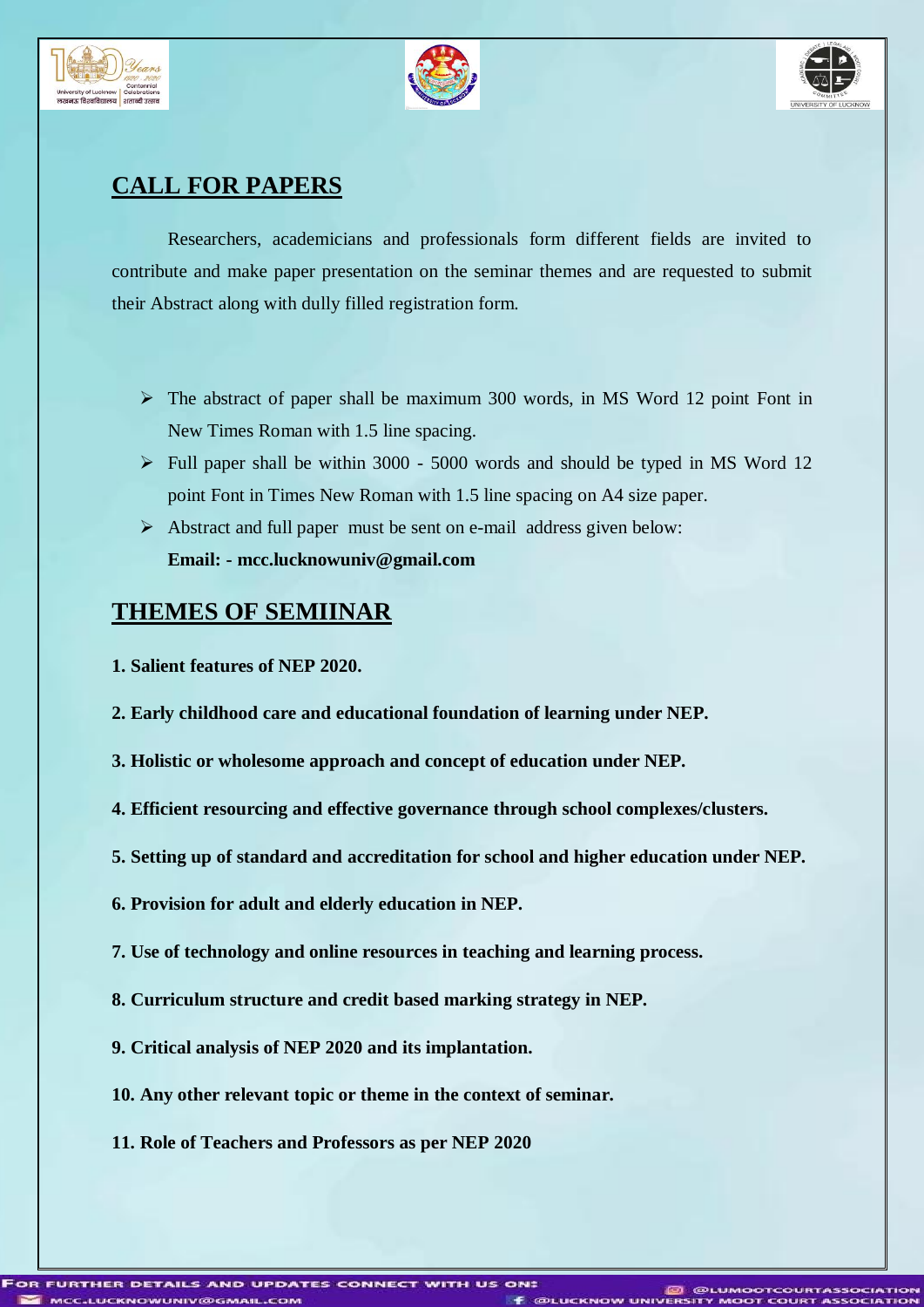





#### **CALL FOR PAPERS**

Researchers, academicians and professionals form different fields are invited to contribute and make paper presentation on the seminar themes and are requested to submit their Abstract along with dully filled registration form.

- $\triangleright$  The abstract of paper shall be maximum 300 words, in MS Word 12 point Font in New Times Roman with 1.5 line spacing.
- $\triangleright$  Full paper shall be within 3000 5000 words and should be typed in MS Word 12 point Font in Times New Roman with 1.5 line spacing on A4 size paper.
- $\triangleright$  Abstract and full paper must be sent on e-mail address given below: **Email: - mcc.lucknowuniv@gmail.com**

#### **THEMES OF SEMIINAR**

- **1. Salient features of NEP 2020.**
- **2. Early childhood care and educational foundation of learning under NEP.**
- **3. Holistic or wholesome approach and concept of education under NEP.**
- **4. Efficient resourcing and effective governance through school complexes/clusters.**
- **5. Setting up of standard and accreditation for school and higher education under NEP.**
- **6. Provision for adult and elderly education in NEP.**
- **7. Use of technology and online resources in teaching and learning process.**
- **8. Curriculum structure and credit based marking strategy in NEP.**
- **9. Critical analysis of NEP 2020 and its implantation.**
- **10. Any other relevant topic or theme in the context of seminar.**
- **11. Role of Teachers and Professors as per NEP 2020**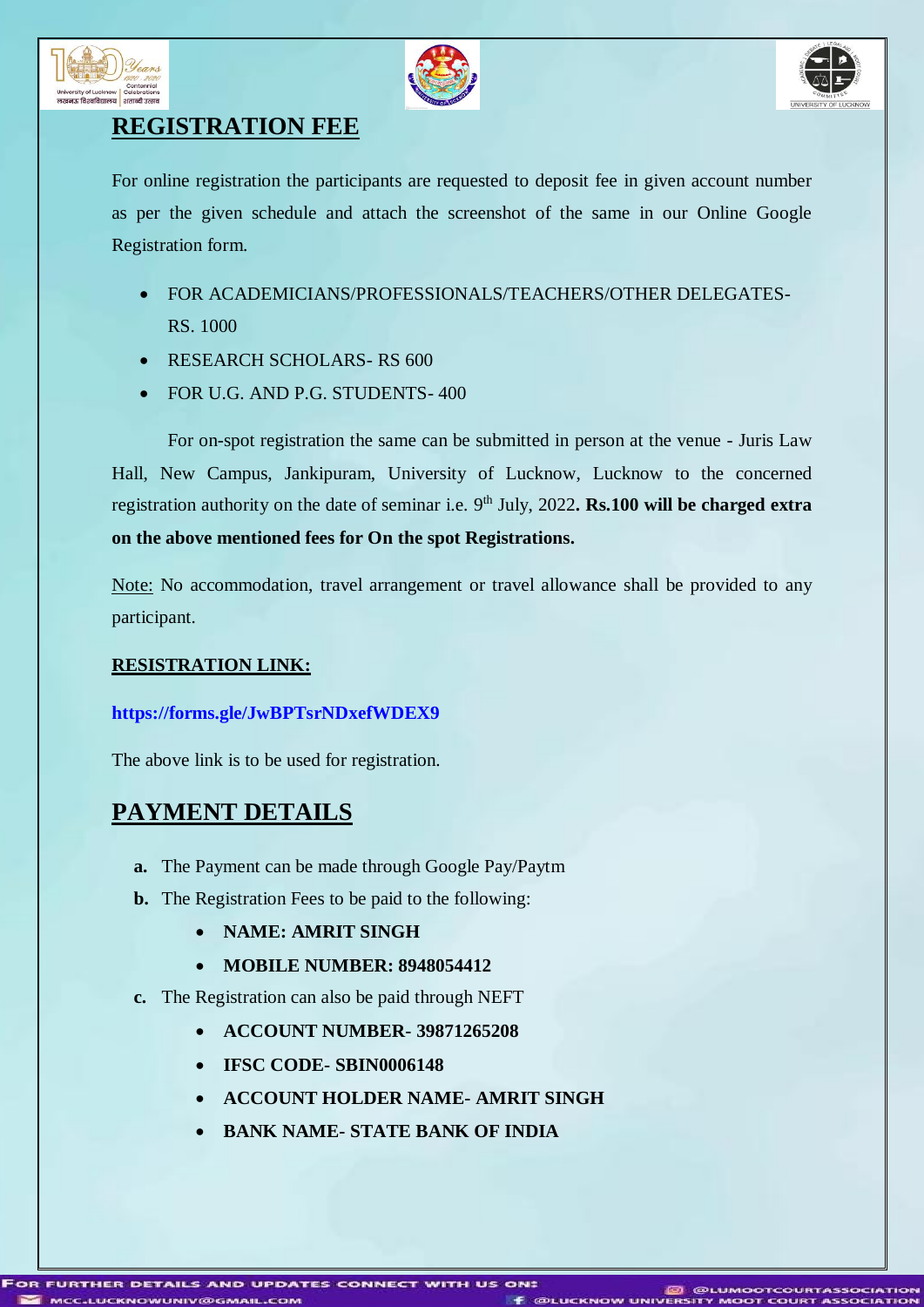





#### **REGISTRATION FEE**

For online registration the participants are requested to deposit fee in given account number as per the given schedule and attach the screenshot of the same in our Online Google Registration form.

- FOR ACADEMICIANS/PROFESSIONALS/TEACHERS/OTHER DELEGATES-RS. 1000
- RESEARCH SCHOLARS-RS 600
- FOR U.G. AND P.G. STUDENTS-400

For on-spot registration the same can be submitted in person at the venue - Juris Law Hall, New Campus, Jankipuram, University of Lucknow, Lucknow to the concerned registration authority on the date of seminar i.e. 9<sup>th</sup> July, 2022**. Rs.100 will be charged extra on the above mentioned fees for On the spot Registrations.**

Note: No accommodation, travel arrangement or travel allowance shall be provided to any participant.

#### **RESISTRATION LINK:**

#### **<https://forms.gle/JwBPTsrNDxefWDEX9>**

The above link is to be used for registration.

#### **PAYMENT DETAILS**

- **a.** The Payment can be made through Google Pay/Paytm
- **b.** The Registration Fees to be paid to the following:
	- **NAME: AMRIT SINGH**
	- **MOBILE NUMBER: 8948054412**
- **c.** The Registration can also be paid through NEFT
	- **ACCOUNT NUMBER- 39871265208**
	- **IFSC CODE- SBIN0006148**
	- **ACCOUNT HOLDER NAME- AMRIT SINGH**
	- **BANK NAME- STATE BANK OF INDIA**